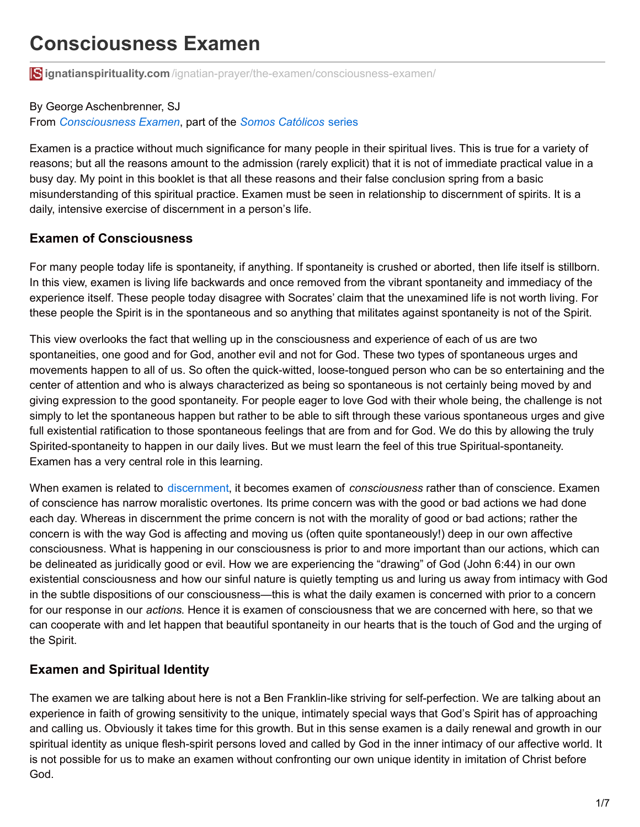# **Consciousness Examen**

**ignatianspirituality.com** [/ignatian-prayer/the-examen/consciousness-examen/](http://www.ignatianspirituality.com/ignatian-prayer/the-examen/consciousness-examen/)

By George Aschenbrenner, SJ

From *[Consciousness](http://www.loyolapress.com/examination-of-consciousness-somos-catolicos.htm) Examen*, part of the *Somos [Católicos](http://www.loyolapress.com/ministry-resources-somos-catolicos-store.htm)* series

Examen is a practice without much significance for many people in their spiritual lives. This is true for a variety of reasons; but all the reasons amount to the admission (rarely explicit) that it is not of immediate practical value in a busy day. My point in this booklet is that all these reasons and their false conclusion spring from a basic misunderstanding of this spiritual practice. Examen must be seen in relationship to discernment of spirits. It is a daily, intensive exercise of discernment in a person's life.

### **Examen of Consciousness**

For many people today life is spontaneity, if anything. If spontaneity is crushed or aborted, then life itself is stillborn. In this view, examen is living life backwards and once removed from the vibrant spontaneity and immediacy of the experience itself. These people today disagree with Socrates' claim that the unexamined life is not worth living. For these people the Spirit is in the spontaneous and so anything that militates against spontaneity is not of the Spirit.

This view overlooks the fact that welling up in the consciousness and experience of each of us are two spontaneities, one good and for God, another evil and not for God. These two types of spontaneous urges and movements happen to all of us. So often the quick-witted, loose-tongued person who can be so entertaining and the center of attention and who is always characterized as being so spontaneous is not certainly being moved by and giving expression to the good spontaneity. For people eager to love God with their whole being, the challenge is not simply to let the spontaneous happen but rather to be able to sift through these various spontaneous urges and give full existential ratification to those spontaneous feelings that are from and for God. We do this by allowing the truly Spirited-spontaneity to happen in our daily lives. But we must learn the feel of this true Spiritual-spontaneity. Examen has a very central role in this learning.

When examen is related to [discernment](http://ignatianspirituality.com/making-good-decisions/discernment-of-spirits/), it becomes examen of *consciousness* rather than of conscience. Examen of conscience has narrow moralistic overtones. Its prime concern was with the good or bad actions we had done each day. Whereas in discernment the prime concern is not with the morality of good or bad actions; rather the concern is with the way God is affecting and moving us (often quite spontaneously!) deep in our own affective consciousness. What is happening in our consciousness is prior to and more important than our actions, which can be delineated as juridically good or evil. How we are experiencing the "drawing" of God (John 6:44) in our own existential consciousness and how our sinful nature is quietly tempting us and luring us away from intimacy with God in the subtle dispositions of our consciousness—this is what the daily examen is concerned with prior to a concern for our response in our *actions*. Hence it is examen of consciousness that we are concerned with here, so that we can cooperate with and let happen that beautiful spontaneity in our hearts that is the touch of God and the urging of the Spirit.

## **Examen and Spiritual Identity**

The examen we are talking about here is not a Ben Franklin-like striving for self-perfection. We are talking about an experience in faith of growing sensitivity to the unique, intimately special ways that God's Spirit has of approaching and calling us. Obviously it takes time for this growth. But in this sense examen is a daily renewal and growth in our spiritual identity as unique flesh-spirit persons loved and called by God in the inner intimacy of our affective world. It is not possible for us to make an examen without confronting our own unique identity in imitation of Christ before God.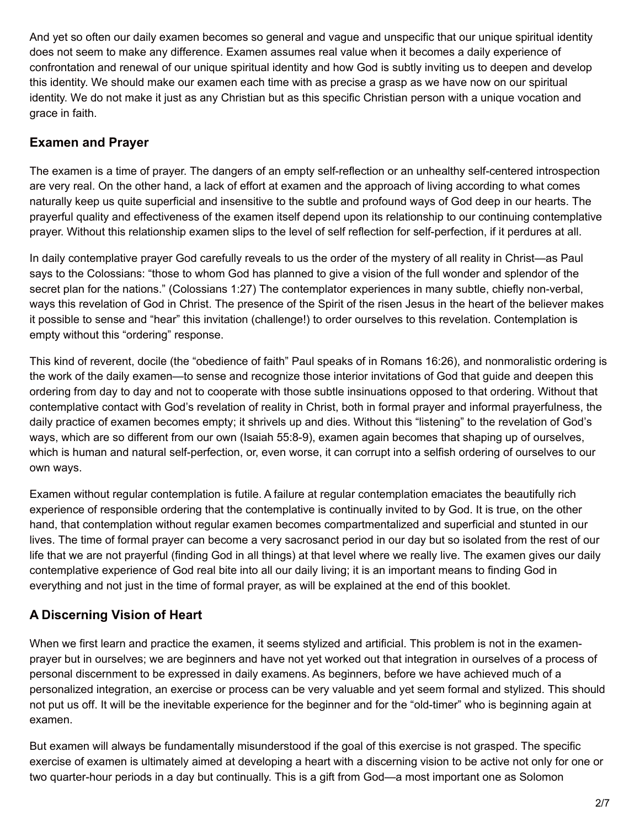And yet so often our daily examen becomes so general and vague and unspecific that our unique spiritual identity does not seem to make any difference. Examen assumes real value when it becomes a daily experience of confrontation and renewal of our unique spiritual identity and how God is subtly inviting us to deepen and develop this identity. We should make our examen each time with as precise a grasp as we have now on our spiritual identity. We do not make it just as any Christian but as this specific Christian person with a unique vocation and grace in faith.

## **Examen and Prayer**

The examen is a time of prayer. The dangers of an empty self-reflection or an unhealthy self-centered introspection are very real. On the other hand, a lack of effort at examen and the approach of living according to what comes naturally keep us quite superficial and insensitive to the subtle and profound ways of God deep in our hearts. The prayerful quality and effectiveness of the examen itself depend upon its relationship to our continuing contemplative prayer. Without this relationship examen slips to the level of self reflection for self-perfection, if it perdures at all.

In daily contemplative prayer God carefully reveals to us the order of the mystery of all reality in Christ—as Paul says to the Colossians: "those to whom God has planned to give a vision of the full wonder and splendor of the secret plan for the nations." (Colossians 1:27) The contemplator experiences in many subtle, chiefly non-verbal, ways this revelation of God in Christ. The presence of the Spirit of the risen Jesus in the heart of the believer makes it possible to sense and "hear" this invitation (challenge!) to order ourselves to this revelation. Contemplation is empty without this "ordering" response.

This kind of reverent, docile (the "obedience of faith" Paul speaks of in Romans 16:26), and nonmoralistic ordering is the work of the daily examen—to sense and recognize those interior invitations of God that guide and deepen this ordering from day to day and not to cooperate with those subtle insinuations opposed to that ordering. Without that contemplative contact with God's revelation of reality in Christ, both in formal prayer and informal prayerfulness, the daily practice of examen becomes empty; it shrivels up and dies. Without this "listening" to the revelation of God's ways, which are so different from our own (Isaiah 55:8-9), examen again becomes that shaping up of ourselves, which is human and natural self-perfection, or, even worse, it can corrupt into a selfish ordering of ourselves to our own ways.

Examen without regular contemplation is futile. A failure at regular contemplation emaciates the beautifully rich experience of responsible ordering that the contemplative is continually invited to by God. It is true, on the other hand, that contemplation without regular examen becomes compartmentalized and superficial and stunted in our lives. The time of formal prayer can become a very sacrosanct period in our day but so isolated from the rest of our life that we are not prayerful (finding God in all things) at that level where we really live. The examen gives our daily contemplative experience of God real bite into all our daily living; it is an important means to finding God in everything and not just in the time of formal prayer, as will be explained at the end of this booklet.

## **A Discerning Vision of Heart**

When we first learn and practice the examen, it seems stylized and artificial. This problem is not in the examenprayer but in ourselves; we are beginners and have not yet worked out that integration in ourselves of a process of personal discernment to be expressed in daily examens. As beginners, before we have achieved much of a personalized integration, an exercise or process can be very valuable and yet seem formal and stylized. This should not put us off. It will be the inevitable experience for the beginner and for the "old-timer" who is beginning again at examen.

But examen will always be fundamentally misunderstood if the goal of this exercise is not grasped. The specific exercise of examen is ultimately aimed at developing a heart with a discerning vision to be active not only for one or two quarter-hour periods in a day but continually. This is a gift from God—a most important one as Solomon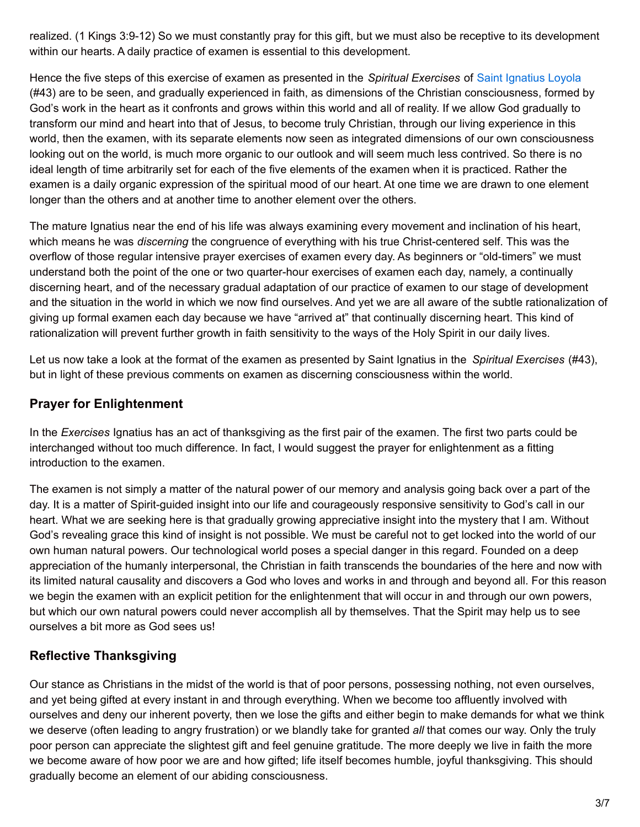realized. (1 Kings 3:9-12) So we must constantly pray for this gift, but we must also be receptive to its development within our hearts. A daily practice of examen is essential to this development.

Hence the five steps of this exercise of examen as presented in the *Spiritual Exercises* of Saint [Ignatius](http://ignatianspirituality.com/ignatian-voices/st-ignatius-loyola/) Loyola (#43) are to be seen, and gradually experienced in faith, as dimensions of the Christian consciousness, formed by God's work in the heart as it confronts and grows within this world and all of reality. If we allow God gradually to transform our mind and heart into that of Jesus, to become truly Christian, through our living experience in this world, then the examen, with its separate elements now seen as integrated dimensions of our own consciousness looking out on the world, is much more organic to our outlook and will seem much less contrived. So there is no ideal length of time arbitrarily set for each of the five elements of the examen when it is practiced. Rather the examen is a daily organic expression of the spiritual mood of our heart. At one time we are drawn to one element longer than the others and at another time to another element over the others.

The mature Ignatius near the end of his life was always examining every movement and inclination of his heart, which means he was *discerning* the congruence of everything with his true Christ-centered self. This was the overflow of those regular intensive prayer exercises of examen every day. As beginners or "old-timers" we must understand both the point of the one or two quarter-hour exercises of examen each day, namely, a continually discerning heart, and of the necessary gradual adaptation of our practice of examen to our stage of development and the situation in the world in which we now find ourselves. And yet we are all aware of the subtle rationalization of giving up formal examen each day because we have "arrived at" that continually discerning heart. This kind of rationalization will prevent further growth in faith sensitivity to the ways of the Holy Spirit in our daily lives.

Let us now take a look at the format of the examen as presented by Saint Ignatius in the *Spiritual Exercises* (#43), but in light of these previous comments on examen as discerning consciousness within the world.

## **Prayer for Enlightenment**

In the *Exercises* Ignatius has an act of thanksgiving as the first pair of the examen. The first two parts could be interchanged without too much difference. In fact, I would suggest the prayer for enlightenment as a fitting introduction to the examen.

The examen is not simply a matter of the natural power of our memory and analysis going back over a part of the day. It is a matter of Spirit-guided insight into our life and courageously responsive sensitivity to God's call in our heart. What we are seeking here is that gradually growing appreciative insight into the mystery that I am. Without God's revealing grace this kind of insight is not possible. We must be careful not to get locked into the world of our own human natural powers. Our technological world poses a special danger in this regard. Founded on a deep appreciation of the humanly interpersonal, the Christian in faith transcends the boundaries of the here and now with its limited natural causality and discovers a God who loves and works in and through and beyond all. For this reason we begin the examen with an explicit petition for the enlightenment that will occur in and through our own powers, but which our own natural powers could never accomplish all by themselves. That the Spirit may help us to see ourselves a bit more as God sees us!

# **Reflective Thanksgiving**

Our stance as Christians in the midst of the world is that of poor persons, possessing nothing, not even ourselves, and yet being gifted at every instant in and through everything. When we become too affluently involved with ourselves and deny our inherent poverty, then we lose the gifts and either begin to make demands for what we think we deserve (often leading to angry frustration) or we blandly take for granted *all* that comes our way. Only the truly poor person can appreciate the slightest gift and feel genuine gratitude. The more deeply we live in faith the more we become aware of how poor we are and how gifted; life itself becomes humble, joyful thanksgiving. This should gradually become an element of our abiding consciousness.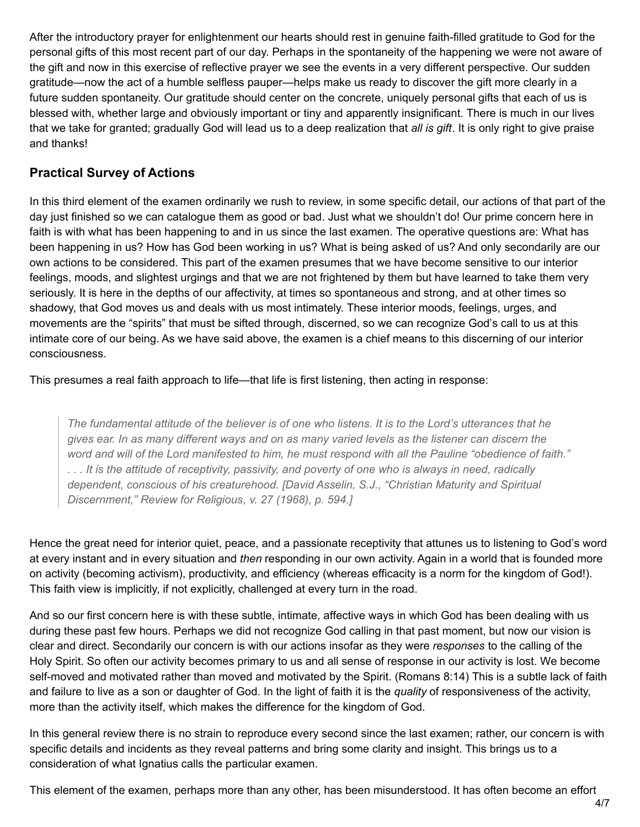After the introductory prayer for enlightenment our hearts should rest in genuine faith-filled gratitude to God for the personal gifts of this most recent part of our day. Perhaps in the spontaneity of the happening we were not aware of the gift and now in this exercise of reflective prayer we see the events in a very different perspective. Our sudden gratitude—now the act of a humble selfless pauper—helps make us ready to discover the gift more clearly in a future sudden spontaneity. Our gratitude should center on the concrete, uniquely personal gifts that each of us is blessed with, whether large and obviously important or tiny and apparently insignificant. There is much in our lives that we take for granted; gradually God will lead us to a deep realization that *all is gift*. It is only right to give praise and thanks!

## **Practical Survey of Actions**

In this third element of the examen ordinarily we rush to review, in some specific detail, our actions of that part of the day just finished so we can catalogue them as good or bad. Just what we shouldn't do! Our prime concern here in faith is with what has been happening to and in us since the last examen. The operative questions are: What has been happening in us? How has God been working in us? What is being asked of us? And only secondarily are our own actions to be considered. This part of the examen presumes that we have become sensitive to our interior feelings, moods, and slightest urgings and that we are not frightened by them but have learned to take them very seriously. It is here in the depths of our affectivity, at times so spontaneous and strong, and at other times so shadowy, that God moves us and deals with us most intimately. These interior moods, feelings, urges, and movements are the "spirits" that must be sifted through, discerned, so we can recognize God's call to us at this intimate core of our being. As we have said above, the examen is a chief means to this discerning of our interior consciousness.

This presumes a real faith approach to life—that life is first listening, then acting in response:

The fundamental attitude of the believer is of one who listens. It is to the Lord's utterances that he gives ear. In as many different ways and on as many varied levels as the listener can discern the word and will of the Lord manifested to him, he must respond with all the Pauline "obedience of faith." ... It is the attitude of receptivity, passivity, and poverty of one who is always in need, radically *dependent, conscious of his creaturehood. [David Asselin, S.J., "Christian Maturity and Spiritual Discernment," Review for Religious, v. 27 (1968), p. 594.]*

Hence the great need for interior quiet, peace, and a passionate receptivity that attunes us to listening to God's word at every instant and in every situation and *then* responding in our own activity. Again in a world that is founded more on activity (becoming activism), productivity, and efficiency (whereas efficacity is a norm for the kingdom of God!). This faith view is implicitly, if not explicitly, challenged at every turn in the road.

And so our first concern here is with these subtle, intimate, affective ways in which God has been dealing with us during these past few hours. Perhaps we did not recognize God calling in that past moment, but now our vision is clear and direct. Secondarily our concern is with our actions insofar as they were *responses* to the calling of the Holy Spirit. So often our activity becomes primary to us and all sense of response in our activity is lost. We become self-moved and motivated rather than moved and motivated by the Spirit. (Romans 8:14) This is a subtle lack of faith and failure to live as a son or daughter of God. In the light of faith it is the *quality* of responsiveness of the activity, more than the activity itself, which makes the difference for the kingdom of God.

In this general review there is no strain to reproduce every second since the last examen; rather, our concern is with specific details and incidents as they reveal patterns and bring some clarity and insight. This brings us to a consideration of what Ignatius calls the particular examen.

This element of the examen, perhaps more than any other, has been misunderstood. It has often become an effort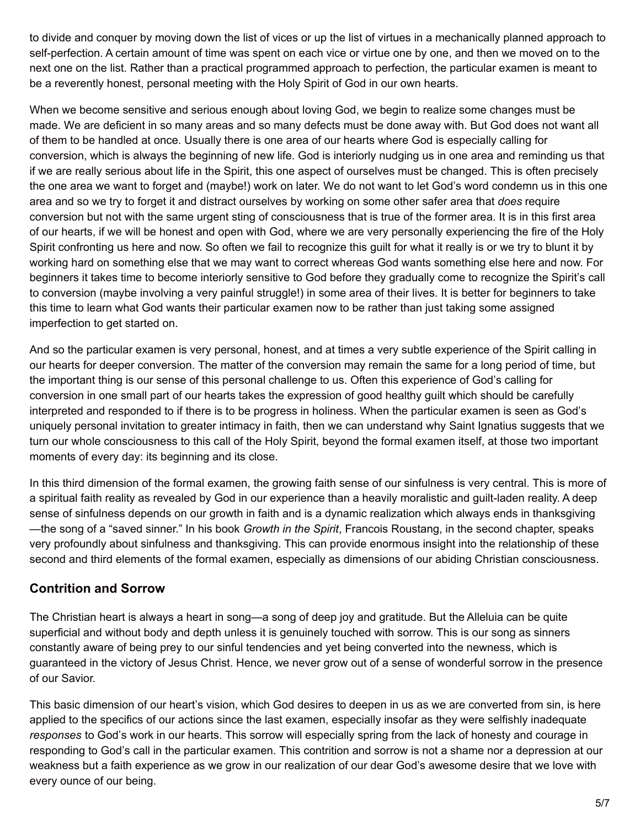to divide and conquer by moving down the list of vices or up the list of virtues in a mechanically planned approach to self-perfection. A certain amount of time was spent on each vice or virtue one by one, and then we moved on to the next one on the list. Rather than a practical programmed approach to perfection, the particular examen is meant to be a reverently honest, personal meeting with the Holy Spirit of God in our own hearts.

When we become sensitive and serious enough about loving God, we begin to realize some changes must be made. We are deficient in so many areas and so many defects must be done away with. But God does not want all of them to be handled at once. Usually there is one area of our hearts where God is especially calling for conversion, which is always the beginning of new life. God is interiorly nudging us in one area and reminding us that if we are really serious about life in the Spirit, this one aspect of ourselves must be changed. This is often precisely the one area we want to forget and (maybe!) work on later. We do not want to let God's word condemn us in this one area and so we try to forget it and distract ourselves by working on some other safer area that *does* require conversion but not with the same urgent sting of consciousness that is true of the former area. It is in this first area of our hearts, if we will be honest and open with God, where we are very personally experiencing the fire of the Holy Spirit confronting us here and now. So often we fail to recognize this guilt for what it really is or we try to blunt it by working hard on something else that we may want to correct whereas God wants something else here and now. For beginners it takes time to become interiorly sensitive to God before they gradually come to recognize the Spirit's call to conversion (maybe involving a very painful struggle!) in some area of their lives. It is better for beginners to take this time to learn what God wants their particular examen now to be rather than just taking some assigned imperfection to get started on.

And so the particular examen is very personal, honest, and at times a very subtle experience of the Spirit calling in our hearts for deeper conversion. The matter of the conversion may remain the same for a long period of time, but the important thing is our sense of this personal challenge to us. Often this experience of God's calling for conversion in one small part of our hearts takes the expression of good healthy guilt which should be carefully interpreted and responded to if there is to be progress in holiness. When the particular examen is seen as God's uniquely personal invitation to greater intimacy in faith, then we can understand why Saint Ignatius suggests that we turn our whole consciousness to this call of the Holy Spirit, beyond the formal examen itself, at those two important moments of every day: its beginning and its close.

In this third dimension of the formal examen, the growing faith sense of our sinfulness is very central. This is more of a spiritual faith reality as revealed by God in our experience than a heavily moralistic and guilt-laden reality. A deep sense of sinfulness depends on our growth in faith and is a dynamic realization which always ends in thanksgiving —the song of a "saved sinner." In his book *Growth in the Spirit*, Francois Roustang, in the second chapter, speaks very profoundly about sinfulness and thanksgiving. This can provide enormous insight into the relationship of these second and third elements of the formal examen, especially as dimensions of our abiding Christian consciousness.

### **Contrition and Sorrow**

The Christian heart is always a heart in song—a song of deep joy and gratitude. But the Alleluia can be quite superficial and without body and depth unless it is genuinely touched with sorrow. This is our song as sinners constantly aware of being prey to our sinful tendencies and yet being converted into the newness, which is guaranteed in the victory of Jesus Christ. Hence, we never grow out of a sense of wonderful sorrow in the presence of our Savior.

This basic dimension of our heart's vision, which God desires to deepen in us as we are converted from sin, is here applied to the specifics of our actions since the last examen, especially insofar as they were selfishly inadequate *responses* to God's work in our hearts. This sorrow will especially spring from the lack of honesty and courage in responding to God's call in the particular examen. This contrition and sorrow is not a shame nor a depression at our weakness but a faith experience as we grow in our realization of our dear God's awesome desire that we love with every ounce of our being.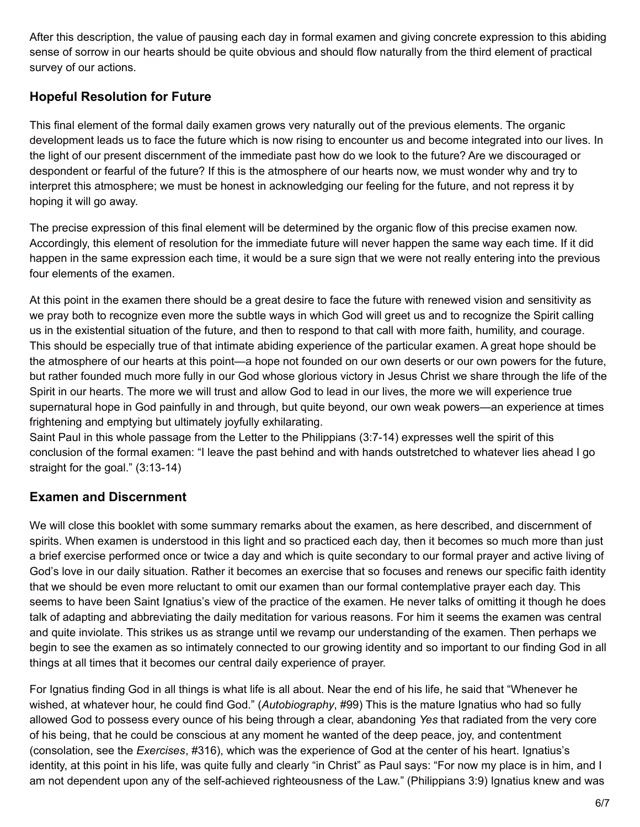After this description, the value of pausing each day in formal examen and giving concrete expression to this abiding sense of sorrow in our hearts should be quite obvious and should flow naturally from the third element of practical survey of our actions.

## **Hopeful Resolution for Future**

This final element of the formal daily examen grows very naturally out of the previous elements. The organic development leads us to face the future which is now rising to encounter us and become integrated into our lives. In the light of our present discernment of the immediate past how do we look to the future? Are we discouraged or despondent or fearful of the future? If this is the atmosphere of our hearts now, we must wonder why and try to interpret this atmosphere; we must be honest in acknowledging our feeling for the future, and not repress it by hoping it will go away.

The precise expression of this final element will be determined by the organic flow of this precise examen now. Accordingly, this element of resolution for the immediate future will never happen the same way each time. If it did happen in the same expression each time, it would be a sure sign that we were not really entering into the previous four elements of the examen.

At this point in the examen there should be a great desire to face the future with renewed vision and sensitivity as we pray both to recognize even more the subtle ways in which God will greet us and to recognize the Spirit calling us in the existential situation of the future, and then to respond to that call with more faith, humility, and courage. This should be especially true of that intimate abiding experience of the particular examen. A great hope should be the atmosphere of our hearts at this point—a hope not founded on our own deserts or our own powers for the future, but rather founded much more fully in our God whose glorious victory in Jesus Christ we share through the life of the Spirit in our hearts. The more we will trust and allow God to lead in our lives, the more we will experience true supernatural hope in God painfully in and through, but quite beyond, our own weak powers—an experience at times frightening and emptying but ultimately joyfully exhilarating.

Saint Paul in this whole passage from the Letter to the Philippians (3:7-14) expresses well the spirit of this conclusion of the formal examen: "I leave the past behind and with hands outstretched to whatever lies ahead I go straight for the goal." (3:13-14)

## **Examen and Discernment**

We will close this booklet with some summary remarks about the examen, as here described, and discernment of spirits. When examen is understood in this light and so practiced each day, then it becomes so much more than just a brief exercise performed once or twice a day and which is quite secondary to our formal prayer and active living of God's love in our daily situation. Rather it becomes an exercise that so focuses and renews our specific faith identity that we should be even more reluctant to omit our examen than our formal contemplative prayer each day. This seems to have been Saint Ignatius's view of the practice of the examen. He never talks of omitting it though he does talk of adapting and abbreviating the daily meditation for various reasons. For him it seems the examen was central and quite inviolate. This strikes us as strange until we revamp our understanding of the examen. Then perhaps we begin to see the examen as so intimately connected to our growing identity and so important to our finding God in all things at all times that it becomes our central daily experience of prayer.

For Ignatius finding God in all things is what life is all about. Near the end of his life, he said that "Whenever he wished, at whatever hour, he could find God." (*Autobiography*, #99) This is the mature Ignatius who had so fully allowed God to possess every ounce of his being through a clear, abandoning *Yes* that radiated from the very core of his being, that he could be conscious at any moment he wanted of the deep peace, joy, and contentment (consolation, see the *Exercises*, #316), which was the experience of God at the center of his heart. Ignatius's identity, at this point in his life, was quite fully and clearly "in Christ" as Paul says: "For now my place is in him, and I am not dependent upon any of the self-achieved righteousness of the Law." (Philippians 3:9) Ignatius knew and was